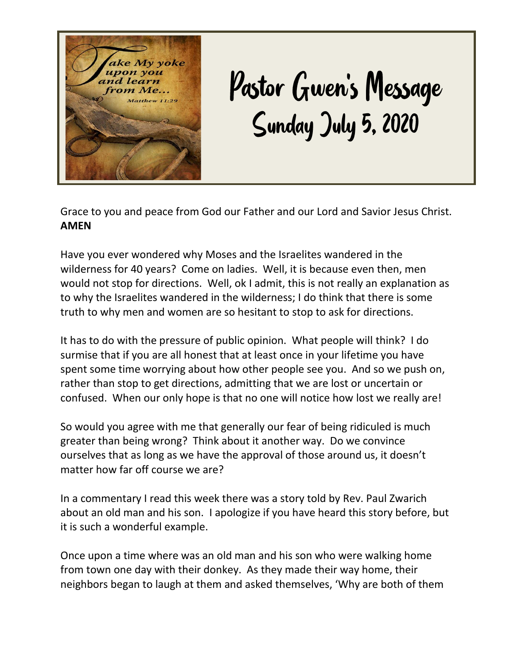

## Pastor Gwen's Message Sunday July 5, 2020

Grace to you and peace from God our Father and our Lord and Savior Jesus Christ. **AMEN**

Have you ever wondered why Moses and the Israelites wandered in the wilderness for 40 years? Come on ladies. Well, it is because even then, men would not stop for directions. Well, ok I admit, this is not really an explanation as to why the Israelites wandered in the wilderness; I do think that there is some truth to why men and women are so hesitant to stop to ask for directions.

It has to do with the pressure of public opinion. What people will think? I do surmise that if you are all honest that at least once in your lifetime you have spent some time worrying about how other people see you. And so we push on, rather than stop to get directions, admitting that we are lost or uncertain or confused. When our only hope is that no one will notice how lost we really are!

So would you agree with me that generally our fear of being ridiculed is much greater than being wrong? Think about it another way. Do we convince ourselves that as long as we have the approval of those around us, it doesn't matter how far off course we are?

In a commentary I read this week there was a story told by Rev. Paul Zwarich about an old man and his son. I apologize if you have heard this story before, but it is such a wonderful example.

Once upon a time where was an old man and his son who were walking home from town one day with their donkey. As they made their way home, their neighbors began to laugh at them and asked themselves, 'Why are both of them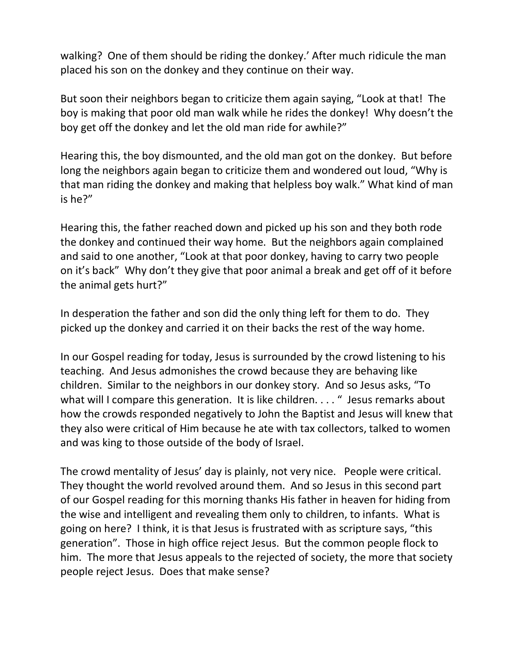walking? One of them should be riding the donkey.' After much ridicule the man placed his son on the donkey and they continue on their way.

But soon their neighbors began to criticize them again saying, "Look at that! The boy is making that poor old man walk while he rides the donkey! Why doesn't the boy get off the donkey and let the old man ride for awhile?"

Hearing this, the boy dismounted, and the old man got on the donkey. But before long the neighbors again began to criticize them and wondered out loud, "Why is that man riding the donkey and making that helpless boy walk." What kind of man is he?"

Hearing this, the father reached down and picked up his son and they both rode the donkey and continued their way home. But the neighbors again complained and said to one another, "Look at that poor donkey, having to carry two people on it's back" Why don't they give that poor animal a break and get off of it before the animal gets hurt?"

In desperation the father and son did the only thing left for them to do. They picked up the donkey and carried it on their backs the rest of the way home.

In our Gospel reading for today, Jesus is surrounded by the crowd listening to his teaching. And Jesus admonishes the crowd because they are behaving like children. Similar to the neighbors in our donkey story. And so Jesus asks, "To what will I compare this generation. It is like children...." Jesus remarks about how the crowds responded negatively to John the Baptist and Jesus will knew that they also were critical of Him because he ate with tax collectors, talked to women and was king to those outside of the body of Israel.

The crowd mentality of Jesus' day is plainly, not very nice. People were critical. They thought the world revolved around them. And so Jesus in this second part of our Gospel reading for this morning thanks His father in heaven for hiding from the wise and intelligent and revealing them only to children, to infants. What is going on here? I think, it is that Jesus is frustrated with as scripture says, "this generation". Those in high office reject Jesus. But the common people flock to him. The more that Jesus appeals to the rejected of society, the more that society people reject Jesus. Does that make sense?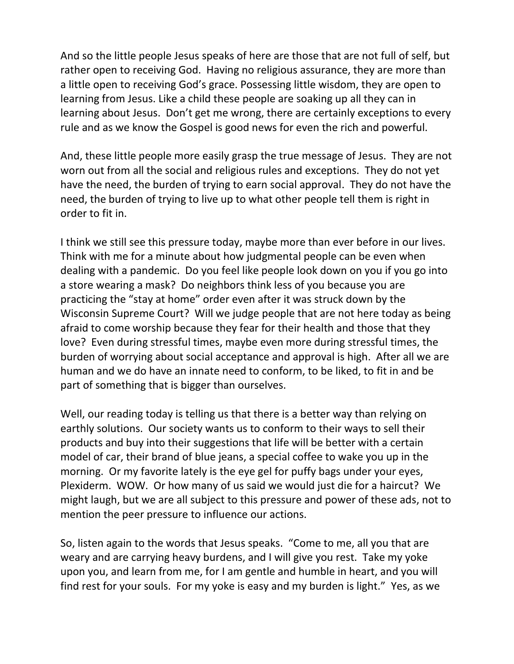And so the little people Jesus speaks of here are those that are not full of self, but rather open to receiving God. Having no religious assurance, they are more than a little open to receiving God's grace. Possessing little wisdom, they are open to learning from Jesus. Like a child these people are soaking up all they can in learning about Jesus. Don't get me wrong, there are certainly exceptions to every rule and as we know the Gospel is good news for even the rich and powerful.

And, these little people more easily grasp the true message of Jesus. They are not worn out from all the social and religious rules and exceptions. They do not yet have the need, the burden of trying to earn social approval. They do not have the need, the burden of trying to live up to what other people tell them is right in order to fit in.

I think we still see this pressure today, maybe more than ever before in our lives. Think with me for a minute about how judgmental people can be even when dealing with a pandemic. Do you feel like people look down on you if you go into a store wearing a mask? Do neighbors think less of you because you are practicing the "stay at home" order even after it was struck down by the Wisconsin Supreme Court? Will we judge people that are not here today as being afraid to come worship because they fear for their health and those that they love? Even during stressful times, maybe even more during stressful times, the burden of worrying about social acceptance and approval is high. After all we are human and we do have an innate need to conform, to be liked, to fit in and be part of something that is bigger than ourselves.

Well, our reading today is telling us that there is a better way than relying on earthly solutions. Our society wants us to conform to their ways to sell their products and buy into their suggestions that life will be better with a certain model of car, their brand of blue jeans, a special coffee to wake you up in the morning. Or my favorite lately is the eye gel for puffy bags under your eyes, Plexiderm. WOW. Or how many of us said we would just die for a haircut? We might laugh, but we are all subject to this pressure and power of these ads, not to mention the peer pressure to influence our actions.

So, listen again to the words that Jesus speaks. "Come to me, all you that are weary and are carrying heavy burdens, and I will give you rest. Take my yoke upon you, and learn from me, for I am gentle and humble in heart, and you will find rest for your souls. For my yoke is easy and my burden is light." Yes, as we